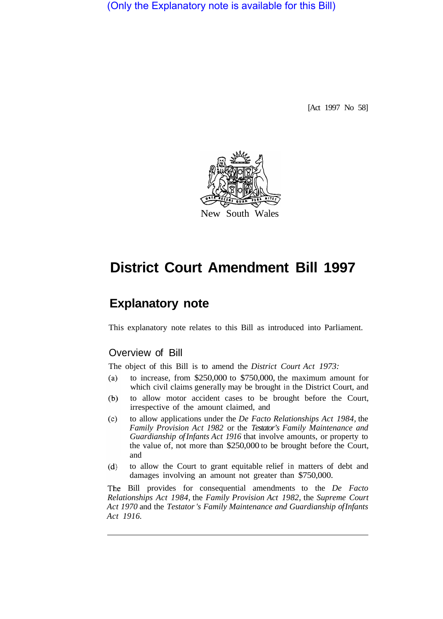(Only the Explanatory note is available for this Bill)

[Act 1997 No 58]



# **District Court Amendment Bill 1997**

## **Explanatory note**

This explanatory note relates to this Bill as introduced into Parliament.

### Overview of Bill

The object of this Bill is to amend the *District Court Act 1973:* 

- $(a)$ to increase, from \$250,000 to \$750,000, the maximum amount for which civil claims generally may be brought in the District Court, and
- $(b)$ to allow motor accident cases to be brought before the Court, irrespective of the amount claimed, and
- $(c)$ to allow applications under the *De Facto Relationships Act 1984,* the *Family Provision Act 1982* or the *Testator's Family Maintenance and Guardianship of Infants Act 1916* that involve amounts, or property to the value of, not more than \$250,000 to be brought before the Court, and
- $(d)$ to allow the Court to grant equitable relief in matters of debt and damages involving an amount not greater than \$750,000.

Bill provides for consequential amendments to the *De Facto Relationships Act 1984,* the *Family Provision Act 1982,* the *Supreme Court Act 1970* and the *Testator 's Family Maintenance and Guardianship of Infants Act 1916.*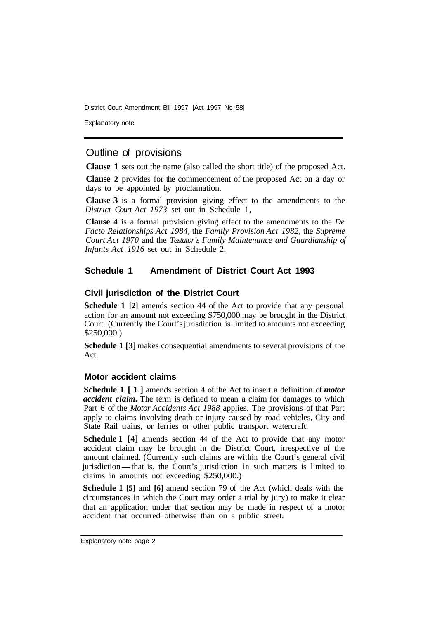District Court Amendment Bill 1997 [Act 1997 No 58]

Explanatory note

#### Outline of provisions

**Clause 1** sets out the name (also called the short title) of the proposed Act.

**Clause 2** provides for the commencement of the proposed Act on a day or days to be appointed by proclamation.

**Clause 3** is a formal provision giving effect to the amendments to the *District Court Act 1973* set out in Schedule 1

**Clause 4** is a formal provision giving effect to the amendments to the *De Facto Relationships Act 1984,* the *Family Provision Act 1982,* the *Supreme Court Act 1970* and the *Testator's Family Maintenance and Guardianship of Infants Act 1916* set out in Schedule 2.

#### **Schedule 1 Amendment of District Court Act 1993**

#### **Civil jurisdiction of the District Court**

**Schedule 1 [2]** amends section 44 of the Act to provide that any personal action for an amount not exceeding \$750,000 may be brought in the District Court. (Currently the Court's jurisdiction is limited to amounts not exceeding \$250,000.)

**Schedule 1 [3]** makes consequential amendments to several provisions of the Act.

#### **Motor accident claims**

**Schedule 1 [1]** amends section 4 of the Act to insert a definition of *motor accident claim.* The term is defined to mean a claim for damages to which Part 6 of the *Motor Accidents Act 1988* applies. The provisions of that Part apply to claims involving death or injury caused by road vehicles, City and State Rail trains, or ferries or other public transport watercraft.

**Schedule 1 [4]** amends section 44 of the Act to provide that any motor accident claim may be brought in the District Court, irrespective of the amount claimed. (Currently such claims are within the Court's general civil jurisdiction—that is, the Court's jurisdiction in such matters is limited to claims in amounts not exceeding \$250,000.)

**Schedule 1 [5]** and **[6]** amend section 79 of the Act (which deals with the circumstances in which the Court may order a trial by jury) to make it clear that an application under that section may be made in respect of a motor accident that occurred otherwise than on a public street.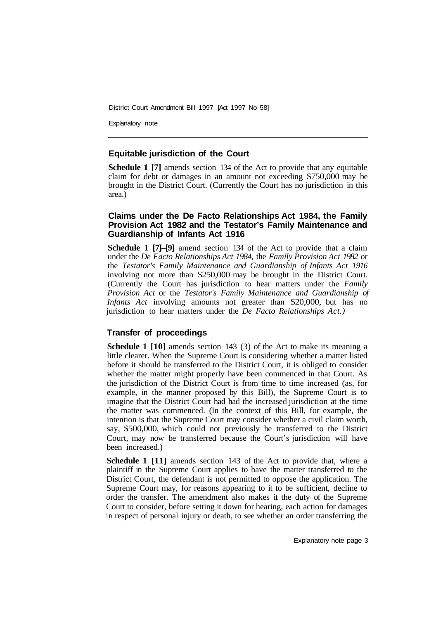District Court Amendment Bill 1997 [Act 1997 No 58]

Explanatory note

#### **Equitable jurisdiction of the Court**

**Schedule 1 [7]** amends section 134 of the Act to provide that any equitable claim for debt or damages in an amount not exceeding \$750,000 may be brought in the District Court. (Currently the Court has no jurisdiction in this area.)

#### **Claims under the De Facto Relationships Act 1984, the Family Provision Act 1982 and the Testator's Family Maintenance and Guardianship of Infants Act 1916**

**Schedule 1 [7]–[9]** amend section 134 of the Act to provide that a claim under the *De Facto Relationships Act 1984,* the *Family Provision Act 1982* or the *Testator's Family Maintenance and Guardianship of Infants Act 1916*  involving not more than \$250,000 may be brought in the District Court. (Currently the Court has jurisdiction to hear matters under the *Family Provision Act* or the *Testator's Family Maintenance and Guardianship of Infants Act* involving amounts not greater than \$20,000, but has no jurisdiction to hear matters under the *De Facto Relationships Act.)* 

#### **Transfer of proceedings**

**Schedule 1 [10]** amends section 143 (3) of the Act to make its meaning a little clearer. When the Supreme Court is considering whether a matter listed before it should be transferred to the District Court, it is obliged to consider whether the matter might properly have been commenced in that Court. As the jurisdiction of the District Court is from time to time increased (as, for example, in the manner proposed by this Bill), the Supreme Court is to imagine that the District Court had had the increased jurisdiction at the time the matter was commenced. (In the context of this Bill, for example, the intention is that the Supreme Court may consider whether a civil claim worth, say, \$500,000, which could not previously be transferred to the District Court, may now be transferred because the Court's jurisdiction will have been increased.)

**Schedule 1 [11]** amends section 143 of the Act to provide that, where a plaintiff in the Supreme Court applies to have the matter transferred to the District Court, the defendant is not permitted to oppose the application. The Supreme Court may, for reasons appearing to it to be sufficient, decline to order the transfer. The amendment also makes it the duty of the Supreme Court to consider, before setting it down for hearing, each action for damages in respect of personal injury or death, to see whether an order transferring the